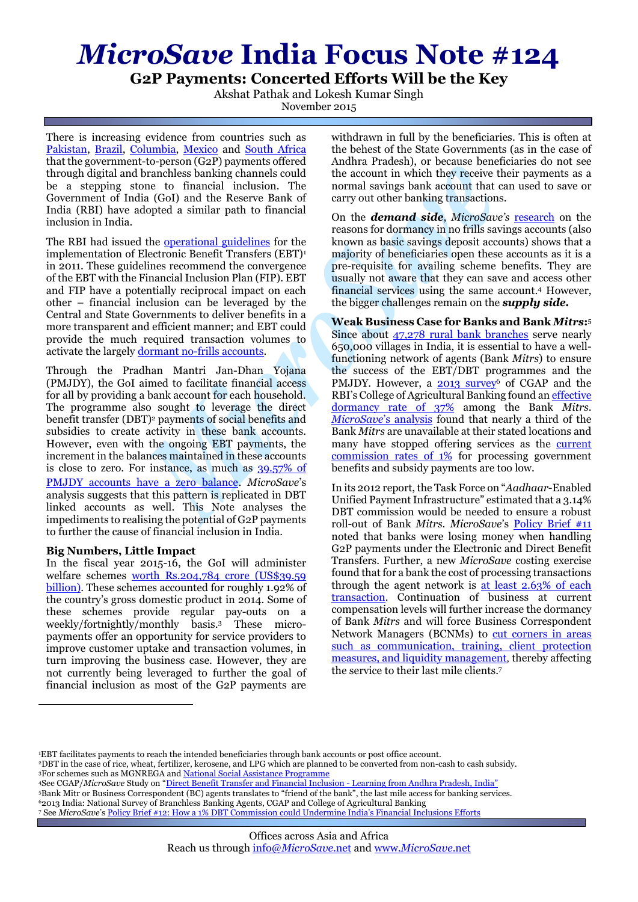# *MicroSave* **India Focus Note #124**

**G2P Payments: Concerted Efforts Will be the Key**

Akshat Pathak and Lokesh Kumar Singh

November 2015

There is increasing evidence from countries such as [Pakistan,](http://www.cgap.org/publications/overview-g2p-payments-sector-pakistan) [Brazil,](http://www.cgap.org/blog/will-g2p-recipients-use-financial-services-if-offered-them) [Columbia,](http://www.cgap.org/publications/cgap-g2p-research-project-colombia-country-report) [Mexico](http://www.cgap.org/blog/will-g2p-recipients-use-financial-services-if-offered-them) and [South Africa](http://www.cgap.org/blog/will-g2p-recipients-use-financial-services-if-offered-them) that the government-to-person (G2P) payments offered through digital and branchless banking channels could be a stepping stone to financial inclusion. The Government of India (GoI) and the Reserve Bank of India (RBI) have adopted a similar path to financial inclusion in India.

The RBI had issued the **operational guidelines** for the implementation of Electronic Benefit Transfers (EBT)<sup>1</sup> in 2011. These guidelines recommend the convergence of the EBT with the Financial Inclusion Plan (FIP). EBT and FIP have a potentially reciprocal impact on each other – financial inclusion can be leveraged by the Central and State Governments to deliver benefits in a more transparent and efficient manner; and EBT could provide the much required transaction volumes to activate the largel[y dormant no-frills accounts.](http://www.microsave.net/resource/no_thrills_dormancy_in_nfa_accounts#.ueknldkxwsp)

Through the Pradhan Mantri Jan-Dhan Yojana (PMJDY), the GoI aimed to facilitate financial access for all by providing a bank account for each household. The programme also sought to leverage the direct benefit transfer (DBT)<sup>2</sup> payments of social benefits and subsidies to create activity in these bank accounts. However, even with the ongoing EBT payments, the increment in the balances maintained in these accounts is close to zero. For instance, as much as [39.57% of](http://pmjdy.gov.in/account-statistics-country.aspx)  [PMJDY accounts have a zero balance](http://pmjdy.gov.in/account-statistics-country.aspx). *MicroSave*'s analysis suggests that this pattern is replicated in DBT linked accounts as well. This Note analyses the impediments to realising the potential of G2P payments to further the cause of financial inclusion in India.

## **Big Numbers, Little Impact**

<u>.</u>

In the fiscal year 2015-16, the GoI will administer welfare schemes [worth Rs.204,784](http://niti.gov.in/mgov_file/NITI%20Brief1.pdf) crore (US\$39.59 billion). These schemes accounted for roughly 1.92% of the country's gross domestic product in 2014. Some of these schemes provide regular pay-outs on a weekly/fortnightly/monthly basis. <sup>3</sup> These micropayments offer an opportunity for service providers to improve customer uptake and transaction volumes, in turn improving the business case. However, they are not currently being leveraged to further the goal of financial inclusion as most of the G2P payments are

withdrawn in full by the beneficiaries. This is often at the behest of the State Governments (as in the case of Andhra Pradesh), or because beneficiaries do not see the account in which they receive their payments as a normal savings bank account that can used to save or carry out other banking transactions.

On the *demand side*, *MicroSave's* [research](http://www.microsave.net/files/pdf/No_Thrills_Dormancy_in_NFA_Accounts.pdf) on the reasons for dormancy in no frills savings accounts (also known as basic savings deposit accounts) shows that a majority of beneficiaries open these accounts as it is a pre-requisite for availing scheme benefits. They are usually not aware that they can save and access other financial services using the same account. <sup>4</sup> However, the bigger challenges remain on the *supply side.*

**Weak Business Case for Banks and Bank** *Mitrs***:** 5 Since about  $47,278$  rural bank branches serve nearly 650,000 villages in India, it is essential to have a wellfunctioning network of agents (Bank *Mitrs*) to ensure the success of the EBT/DBT programmes and the PMJDY. However, a [2013 survey](http://www.cgap.org/news/linking-electronic-payments-and-social-cash-transfers-india)<sup>6</sup> of CGAP and the RBI's College of Agricultural Banking found an [effective](http://www.microsave.net/files/pdf/1377583661_PB_9_Behind_the_Big_Numbers.pdf)  [dormancy rate of 37%](http://www.microsave.net/files/pdf/1377583661_PB_9_Behind_the_Big_Numbers.pdf) among the Bank *Mitrs*. *[MicroSave](http://www.microsave.net/files/pdf/IFN_114_Assessment_of_Bank_Mitrs_under_PMJDY.pdf)*'s analysis found that nearly a third of the Bank *Mitrs* are unavailable at their stated locations and many have stopped offering services as the current [commission rates of 1%](http://bit.ly/1zJs28c) for processing government benefits and subsidy payments are too low.

In its 2012 report, the Task Force on "*Aadhaar*-Enabled Unified Payment Infrastructure" estimated that a 3.14% DBT commission would be needed to ensure a robust roll-out of Bank *Mitrs*. *MicroSave*'s [Policy Brief #11](http://www.microsave.net/files/pdf/PB_11_Optimising_Commissions_and_Payout_Mechanism_For_G2P_Payments_Under_Electronic_and_Direct_Benefit_Transfer.pdf) noted that banks were losing money when handling G2P payments under the Electronic and Direct Benefit Transfers. Further, a new *MicroSave* costing exercise found that for a bank the cost of processing transactions through the agent network is at least 2.63% of each [transaction.](http://bit.ly/1iB6e7y) Continuation of business at current compensation levels will further increase the dormancy of Bank *Mitrs* and will force Business Correspondent Network Managers (BCNMs) to [cut corners in areas](http://bit.ly/1X62byu)  [such as communication, training, client protection](http://bit.ly/1X62byu)  [measures, and liquidity management](http://bit.ly/1X62byu), thereby affecting the service to their last mile clients. 7

- <sup>5</sup>Bank Mitr or Business Correspondent (BC) agents translates to "friend of the bank", the last mile access for banking services. <sup>6</sup>2013 India: National Survey of Branchless Banking Agents, CGAP and College of Agricultural Banking
- <sup>7</sup> See *MicroSave*'[s Policy Brief #12: How a 1% DBT Commission could Undermine India's Financial Inclusions Efforts](http://www.microsave.net/resource/how_a_1_dbt_commission_could_undermine_india_s_financial_inclusion_efforts)

<sup>1</sup>EBT facilitates payments to reach the intended beneficiaries through bank accounts or post office account.

<sup>2</sup>DBT in the case of rice, wheat, fertilizer, kerosene, and LPG which are planned to be converted from non-cash to cash subsidy. <sup>3</sup>For schemes such as MGNREGA an[d National Social Assistance Programme](http://nsap.nic.in/nsap/NSAP-%20About%20us.pdf)

<sup>4</sup>See CGAP/*MicroSave* Study on "[Direct Benefit Transfer and Financial Inclusion -](http://www.cgap.org/news/linking-electronic-payments-and-social-cash-transfers-india) Learning from Andhra Pradesh, India"